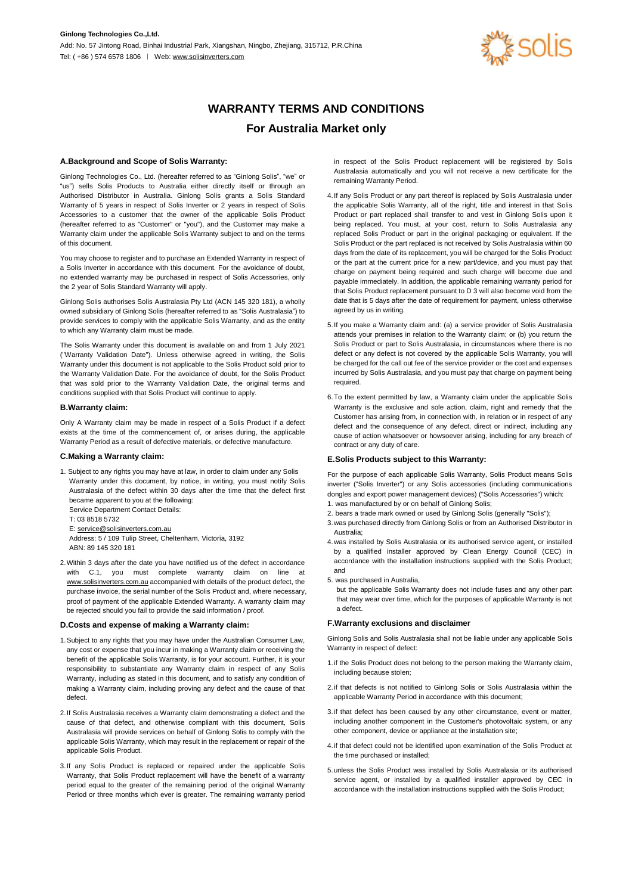

# **WARRANTY TERMS AND CONDITIONS For Australia Market only**

# **A.Background and Scope of Solis Warranty:**

Ginlong Technologies Co., Ltd. (hereafter referred to as "Ginlong Solis", "we" or "us") sells Solis Products to Australia either directly itself or through an Authorised Distributor in Australia. Ginlong Solis grants a Solis Standard Warranty of 5 years in respect of Solis Inverter or 2 years in respect of Solis Accessories to a customer that the owner of the applicable Solis Product (hereafter referred to as "Customer" or "you"), and the Customer may make a Warranty claim under the applicable Solis Warranty subject to and on the terms of this document.

You may choose to register and to purchase an Extended Warranty in respect of a Solis Inverter in accordance with this document. For the avoidance of doubt, no extended warranty may be purchased in respect of Solis Accessories, only the 2 year of Solis Standard Warranty will apply.

Ginlong Solis authorises Solis Australasia Pty Ltd (ACN 145 320 181), a wholly owned subsidiary of Ginlong Solis (hereafter referred to as "Solis Australasia") to provide services to comply with the applicable Solis Warranty, and as the entity to which any Warranty claim must be made.

The Solis Warranty under this document is available on and from 1 July 2021 ("Warranty Validation Date"). Unless otherwise agreed in writing, the Solis Warranty under this document is not applicable to the Solis Product sold prior to the Warranty Validation Date. For the avoidance of doubt, for the Solis Product that was sold prior to the Warranty Validation Date, the original terms and conditions supplied with that Solis Product will continue to apply.

# **B.Warranty claim:**

Only A Warranty claim may be made in respect of a Solis Product if a defect exists at the time of the commencement of, or arises during, the applicable Warranty Period as a result of defective materials, or defective manufacture.

# **C.Making a Warranty claim:**

1. Subject to any rights you may have at law, in order to claim under any Solis Warranty under this document, by notice, in writing, you must notify Solis Australasia of the defect within 30 days after the time that the defect first became apparent to you at the following: Service Department Contact Details: T: 03 8518 5732 E: service@solisinverters.com.au

Address: 5 / 109 Tulip Street, Cheltenham, Victoria, 3192 ABN: 89 145 320 181

2.Within 3 days after the date you have notified us of the defect in accordance with C.1, you must complete warranty claim on line at www.solisinverters.com.au accompanied with details of the product defect, the purchase invoice, the serial number of the Solis Product and, where necessary, proof of payment of the applicable Extended Warranty. A warranty claim may be rejected should you fail to provide the said information / proof.

#### **D.Costs and expense of making a Warranty claim:**

- 1.Subject to any rights that you may have under the Australian Consumer Law, any cost or expense that you incur in making a Warranty claim or receiving the benefit of the applicable Solis Warranty, is for your account. Further, it is your responsibility to substantiate any Warranty claim in respect of any Solis Warranty, including as stated in this document, and to satisfy any condition of making a Warranty claim, including proving any defect and the cause of that defect.
- 2.If Solis Australasia receives a Warranty claim demonstrating a defect and the cause of that defect, and otherwise compliant with this document. Solis Australasia will provide services on behalf of Ginlong Solis to comply with the applicable Solis Warranty, which may result in the replacement or repair of the applicable Solis Product.
- 3.If any Solis Product is replaced or repaired under the applicable Solis Warranty, that Solis Product replacement will have the benefit of a warranty period equal to the greater of the remaining period of the original Warranty Period or three months which ever is greater. The remaining warranty period

in respect of the Solis Product replacement will be registered by Solis Australasia automatically and you will not receive a new certificate for the remaining Warranty Period.

- 4.If any Solis Product or any part thereof is replaced by Solis Australasia under the applicable Solis Warranty, all of the right, title and interest in that Solis Product or part replaced shall transfer to and vest in Ginlong Solis upon it being replaced. You must, at your cost, return to Solis Australasia any replaced Solis Product or part in the original packaging or equivalent. If the Solis Product or the part replaced is not received by Solis Australasia within 60 days from the date of its replacement, you will be charged for the Solis Product or the part at the current price for a new part/device, and you must pay that charge on payment being required and such charge will become due and payable immediately. In addition, the applicable remaining warranty period for that Solis Product replacement pursuant to D 3 will also become void from the date that is 5 days after the date of requirement for payment, unless otherwise agreed by us in writing.
- 5.If you make a Warranty claim and: (a) a service provider of Solis Australasia attends your premises in relation to the Warranty claim; or (b) you return the Solis Product or part to Solis Australasia, in circumstances where there is no defect or any defect is not covered by the applicable Solis Warranty, you will be charged for the call out fee of the service provider or the cost and expenses incurred by Solis Australasia, and you must pay that charge on payment being required.
- 6.To the extent permitted by law, a Warranty claim under the applicable Solis Warranty is the exclusive and sole action, claim, right and remedy that the Customer has arising from, in connection with, in relation or in respect of any defect and the consequence of any defect, direct or indirect, including any cause of action whatsoever or howsoever arising, including for any breach of contract or any duty of care.

# **E.Solis Products subject to this Warranty:**

For the purpose of each applicable Solis Warranty, Solis Product means Solis inverter ("Solis Inverter") or any Solis accessories (including communications dongles and export power management devices) ("Solis Accessories") which: 1. was manufactured by or on behalf of Ginlong Solis;

- 2. bears a trade mark owned or used by Ginlong Solis (generally "Solis");
- 3.was purchased directly from Ginlong Solis or from an Authorised Distributor in Australia;
- 4.was installed by Solis Australasia or its authorised service agent, or installed by a qualified installer approved by Clean Energy Council (CEC) in accordance with the installation instructions supplied with the Solis Product; and
- 5. was purchased in Australia,
- but the applicable Solis Warranty does not include fuses and any other part that may wear over time, which for the purposes of applicable Warranty is not a defect.

#### **F.Warranty exclusions and disclaimer**

Ginlong Solis and Solis Australasia shall not be liable under any applicable Solis Warranty in respect of defect:

- 1.if the Solis Product does not belong to the person making the Warranty claim, including because stolen;
- 2.if that defects is not notified to Ginlong Solis or Solis Australasia within the applicable Warranty Period in accordance with this document;
- 3.if that defect has been caused by any other circumstance, event or matter, including another component in the Customer's photovoltaic system, or any other component, device or appliance at the installation site;
- 4.if that defect could not be identified upon examination of the Solis Product at the time purchased or installed;
- 5.unless the Solis Product was installed by Solis Australasia or its authorised service agent, or installed by a qualified installer approved by CEC in accordance with the installation instructions supplied with the Solis Product;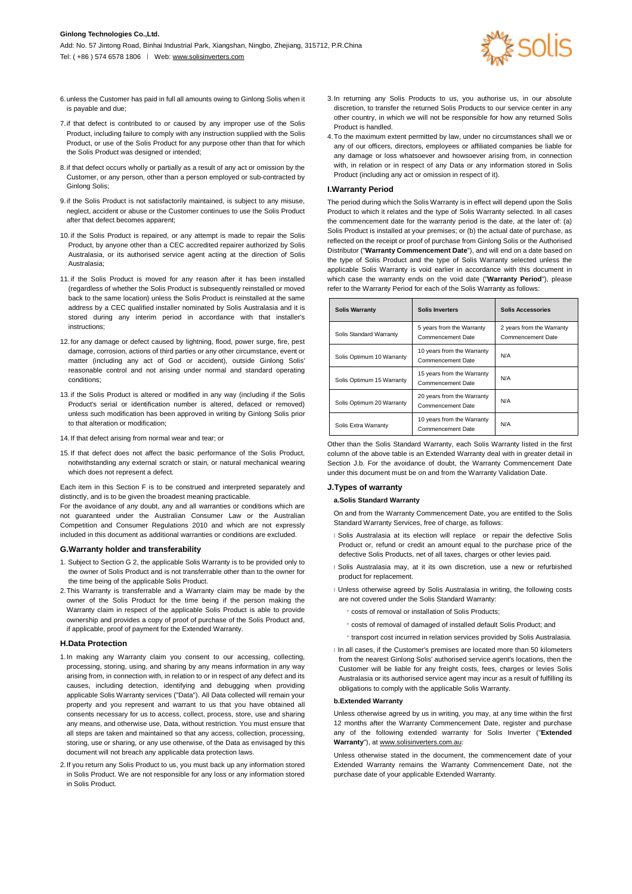

- 6.unless the Customer has paid in full all amounts owing to Ginlong Solis when it is payable and due;
- 7.if that defect is contributed to or caused by any improper use of the Solis Product, including failure to comply with any instruction supplied with the Solis Product, or use of the Solis Product for any purpose other than that for which the Solis Product was designed or intended;
- 8.if that defect occurs wholly or partially as a result of any act or omission by the Customer, or any person, other than a person employed or sub-contracted by Ginlong Solis;
- 9.if the Solis Product is not satisfactorily maintained, is subject to any misuse, neglect, accident or abuse or the Customer continues to use the Solis Product after that defect becomes apparent;
- 10. if the Solis Product is repaired, or any attempt is made to repair the Solis Product, by anyone other than a CEC accredited repairer authorized by Solis Australasia, or its authorised service agent acting at the direction of Solis Australasia;
- 11. if the Solis Product is moved for any reason after it has been installed (regardless of whether the Solis Product is subsequently reinstalled or moved back to the same location) unless the Solis Product is reinstalled at the same address by a CEC qualified installer nominated by Solis Australasia and it is stored during any interim period in accordance with that installer's instructions;
- 12. for any damage or defect caused by lightning, flood, power surge, fire, pest damage, corrosion, actions of third parties or any other circumstance, event or matter (including any act of God or accident), outside Ginlong Solis' reasonable control and not arising under normal and standard operating conditions;
- 13. if the Solis Product is altered or modified in any way (including if the Solis Product's serial or identification number is altered, defaced or removed) unless such modification has been approved in writing by Ginlong Solis prior to that alteration or modification;
- 14. If that defect arising from normal wear and tear; or
- 15. If that defect does not affect the basic performance of the Solis Product, notwithstanding any external scratch or stain, or natural mechanical wearing which does not represent a defect.

Each item in this Section F is to be construed and interpreted separately and distinctly, and is to be given the broadest meaning practicable.

For the avoidance of any doubt, any and all warranties or conditions which are not guaranteed under the Australian Consumer Law or the Australian Competition and Consumer Regulations 2010 and which are not expressly included in this document as additional warranties or conditions are excluded.

#### **G.Warranty holder and transferability**

- 1. Subject to Section G 2, the applicable Solis Warranty is to be provided only to the owner of Solis Product and is not transferrable other than to the owner for the time being of the applicable Solis Product.
- 2.This Warranty is transferrable and a Warranty claim may be made by the owner of the Solis Product for the time being if the person making the Warranty claim in respect of the applicable Solis Product is able to provide ownership and provides a copy of proof of purchase of the Solis Product and, if applicable, proof of payment for the Extended Warranty.

#### **H.Data Protection**

- 1.In making any Warranty claim you consent to our accessing, collecting, processing, storing, using, and sharing by any means information in any way arising from, in connection with, in relation to or in respect of any defect and its causes, including detection, identifying and debugging when providing applicable Solis Warranty services ("Data"). All Data collected will remain your property and you represent and warrant to us that you have obtained all consents necessary for us to access, collect, process, store, use and sharing any means, and otherwise use, Data, without restriction. You must ensure that all steps are taken and maintained so that any access, collection, processing, storing, use or sharing, or any use otherwise, of the Data as envisaged by this document will not breach any applicable data protection laws.
- 2.If you return any Solis Product to us, you must back up any information stored in Solis Product. We are not responsible for any loss or any information stored in Solis Product.
- 3.In returning any Solis Products to us, you authorise us, in our absolute discretion, to transfer the returned Solis Products to our service center in any other country, in which we will not be responsible for how any returned Solis Product is handled.
- 4.To the maximum extent permitted by law, under no circumstances shall we or any of our officers, directors, employees or affiliated companies be liable for any damage or loss whatsoever and howsoever arising from, in connection with, in relation or in respect of any Data or any information stored in Solis Product (including any act or omission in respect of it).

# **I.Warranty Period**

The period during which the Solis Warranty is in effect will depend upon the Solis Product to which it relates and the type of Solis Warranty selected. In all cases the commencement date for the warranty period is the date, at the later of: (a) Solis Product is installed at your premises; or (b) the actual date of purchase, as reflected on the receipt or proof of purchase from Ginlong Solis or the Authorised Distributor ("**Warranty Commencement Date**"), and will end on a date based on the type of Solis Product and the type of Solis Warranty selected unless the applicable Solis Warranty is void earlier in accordance with this document in which case the warranty ends on the void date ("**Warranty Period**"), please refer to the Warranty Period for each of the Solis Warranty as follows:

| <b>Solis Warranty</b>     | <b>Solis Inverters</b>                          | <b>Solis Accessories</b>                       |
|---------------------------|-------------------------------------------------|------------------------------------------------|
| Solis Standard Warranty   | 5 years from the Warranty<br>Commencement Date  | 2 years from the Warranty<br>Commencement Date |
| Solis Optimum 10 Warranty | 10 years from the Warranty<br>Commencement Date | N/A                                            |
| Solis Optimum 15 Warranty | 15 years from the Warranty<br>Commencement Date | N/A                                            |
| Solis Optimum 20 Warranty | 20 years from the Warranty<br>Commencement Date | N/A                                            |
| Solis Extra Warranty      | 10 years from the Warranty<br>Commencement Date | N/A                                            |

Other than the Solis Standard Warranty, each Solis Warranty listed in the first column of the above table is an Extended Warranty deal with in greater detail in Section J.b. For the avoidance of doubt, the Warranty Commencement Date under this document must be on and from the Warranty Validation Date.

#### **J.Types of warranty**

#### **a.Solis Standard Warranty**

On and from the Warranty Commencement Date, you are entitled to the Solis Standard Warranty Services, free of charge, as follows:

- I Solis Australasia at its election will replace or repair the defective Solis Product or, refund or credit an amount equal to the purchase price of the defective Solis Products, net of all taxes, charges or other levies paid.
- lSolis Australasia may, at it its own discretion, use a new or refurbished product for replacement.
- I Unless otherwise agreed by Solis Australasia in writing, the following costs are not covered under the Solis Standard Warranty:
	- ¡costs of removal or installation of Solis Products;
	- ¡costs of removal of damaged of installed default Solis Product; and
	- ¡transport cost incurred in relation services provided by Solis Australasia.
- I In all cases, if the Customer's premises are located more than 50 kilometers from the nearest Ginlong Solis' authorised service agent's locations, then the Customer will be liable for any freight costs, fees, charges or levies Solis Australasia or its authorised service agent may incur as a result of fulfilling its obligations to comply with the applicable Solis Warranty.

# **b.Extended Warranty**

Unless otherwise agreed by us in writing, you may, at any time within the first 12 months after the Warranty Commencement Date, register and purchase any of the following extended warranty for Solis Inverter ("**Extended Warranty**"), at www.solisinverters.com.au:

Unless otherwise stated in the document, the commencement date of your Extended Warranty remains the Warranty Commencement Date, not the purchase date of your applicable Extended Warranty.